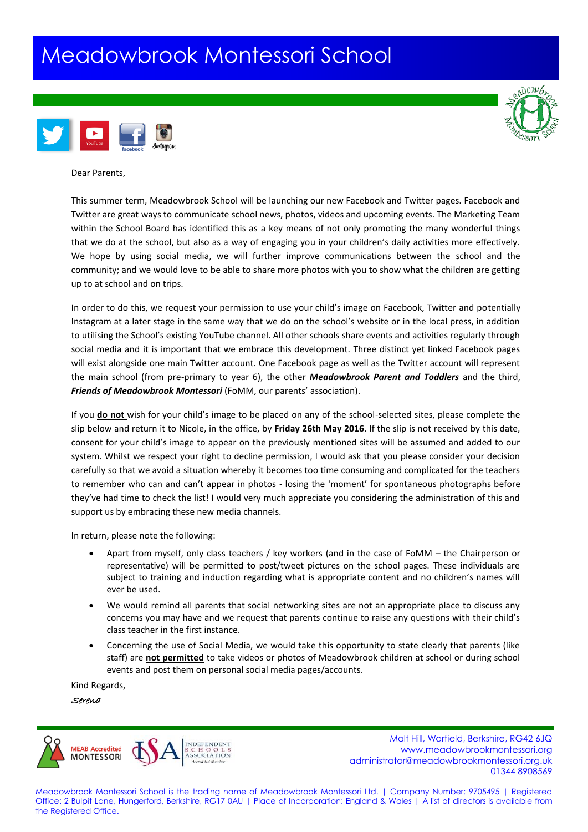## Meadowbrook Montessori School





Dear Parents,

This summer term, Meadowbrook School will be launching our new Facebook and Twitter pages. Facebook and Twitter are great ways to communicate school news, photos, videos and upcoming events. The Marketing Team within the School Board has identified this as a key means of not only promoting the many wonderful things that we do at the school, but also as a way of engaging you in your children's daily activities more effectively. We hope by using social media, we will further improve communications between the school and the community; and we would love to be able to share more photos with you to show what the children are getting up to at school and on trips.

In order to do this, we request your permission to use your child's image on Facebook, Twitter and potentially Instagram at a later stage in the same way that we do on the school's website or in the local press, in addition to utilising the School's existing YouTube channel. All other schools share events and activities regularly through social media and it is important that we embrace this development. Three distinct yet linked Facebook pages will exist alongside one main Twitter account. One Facebook page as well as the Twitter account will represent the main school (from pre-primary to year 6), the other *Meadowbrook Parent and Toddlers* and the third, *Friends of Meadowbrook Montessori* (FoMM, our parents' association).

If you **do not** wish for your child's image to be placed on any of the school-selected sites, please complete the slip below and return it to Nicole, in the office, by **Friday 26th May 2016**. If the slip is not received by this date, consent for your child's image to appear on the previously mentioned sites will be assumed and added to our system. Whilst we respect your right to decline permission, I would ask that you please consider your decision carefully so that we avoid a situation whereby it becomes too time consuming and complicated for the teachers to remember who can and can't appear in photos - losing the 'moment' for spontaneous photographs before they've had time to check the list! I would very much appreciate you considering the administration of this and support us by embracing these new media channels.

In return, please note the following:

- Apart from myself, only class teachers / key workers (and in the case of FoMM the Chairperson or representative) will be permitted to post/tweet pictures on the school pages. These individuals are subject to training and induction regarding what is appropriate content and no children's names will ever be used.
- We would remind all parents that social networking sites are not an appropriate place to discuss any concerns you may have and we request that parents continue to raise any questions with their child's class teacher in the first instance.
- Concerning the use of Social Media, we would take this opportunity to state clearly that parents (like staff) are **not permitted** to take videos or photos of Meadowbrook children at school or during school events and post them on personal social media pages/accounts.

Kind Regards,

Serena



Malt Hill, Warfield, Berkshire, RG42 6JQ<br>Malt Hill, Warfield, Berkshire, RG42 6JQ<br>www.meadowbrookmontessori.org www.meadowbrookmontessori.org [administrator@meadowbrookmontessori.org.uk](mailto:administrator@meadowbrookmontessori.org.uk) 01344 8908569

Meadowbrook Montessori School is the trading name of Meadowbrook Montessori Ltd. | Company Number: 9705495 | Registered Office: 2 Bulpit Lane, Hungerford, Berkshire, RG17 0AU | Place of Incorporation: England & Wales | A list of directors is available from the Registered Office.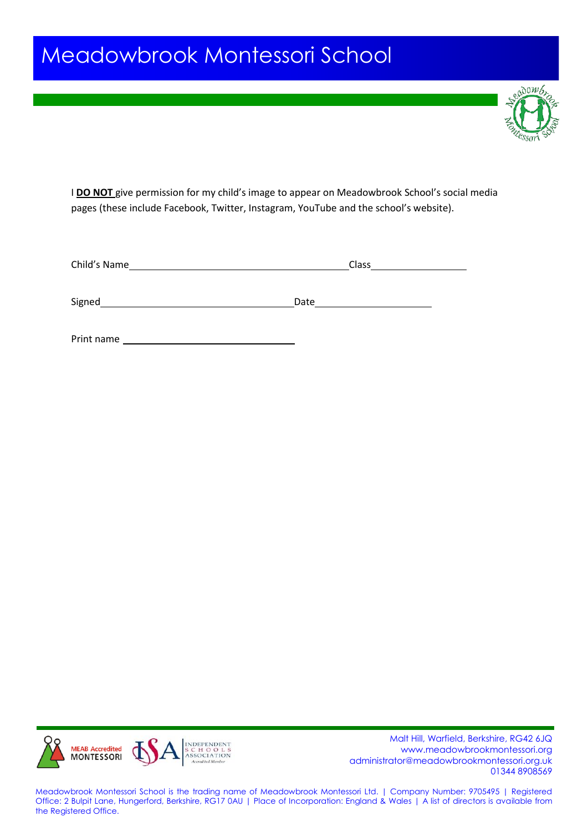## Meadowbrook Montessori School



I **DO NOT** give permission for my child's image to appear on Meadowbrook School's social media pages (these include Facebook, Twitter, Instagram, YouTube and the school's website).

| Child's Name | Class |
|--------------|-------|
| Signed       | Date  |

Print name



Malt Hill, Warfield, Berkshire, RG42 6JQ<br>MONTESSORI SCHOOLS www.meadowbrookmontessori.org<br>MONTESSORI ASSOCIATION www.meadowbrookmontessori.org [administrator@meadowbrookmontessori.org.uk](mailto:administrator@meadowbrookmontessori.org.uk) 01344 8908569

Meadowbrook Montessori School is the trading name of Meadowbrook Montessori Ltd. | Company Number: 9705495 | Registered Office: 2 Bulpit Lane, Hungerford, Berkshire, RG17 0AU | Place of Incorporation: England & Wales | A list of directors is available from the Registered Office.